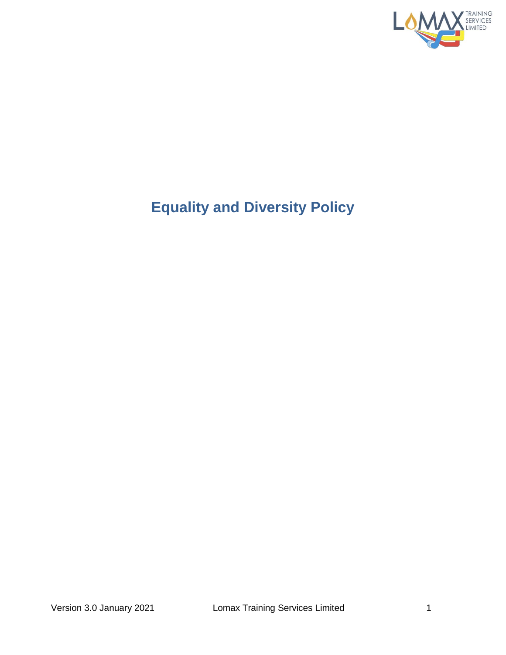

# **Equality and Diversity Policy**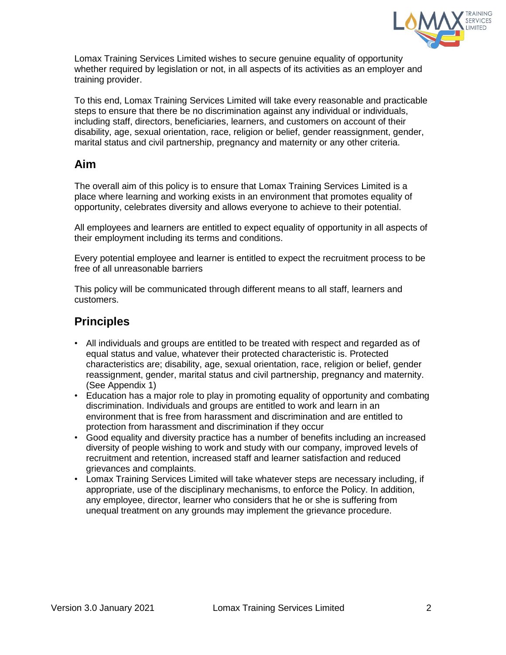

Lomax Training Services Limited wishes to secure genuine equality of opportunity whether required by legislation or not, in all aspects of its activities as an employer and training provider.

To this end, Lomax Training Services Limited will take every reasonable and practicable steps to ensure that there be no discrimination against any individual or individuals, including staff, directors, beneficiaries, learners, and customers on account of their disability, age, sexual orientation, race, religion or belief, gender reassignment, gender, marital status and civil partnership, pregnancy and maternity or any other criteria.

#### **Aim**

The overall aim of this policy is to ensure that Lomax Training Services Limited is a place where learning and working exists in an environment that promotes equality of opportunity, celebrates diversity and allows everyone to achieve to their potential.

All employees and learners are entitled to expect equality of opportunity in all aspects of their employment including its terms and conditions.

Every potential employee and learner is entitled to expect the recruitment process to be free of all unreasonable barriers

This policy will be communicated through different means to all staff, learners and customers.

## **Principles**

- All individuals and groups are entitled to be treated with respect and regarded as of equal status and value, whatever their protected characteristic is. Protected characteristics are; disability, age, sexual orientation, race, religion or belief, gender reassignment, gender, marital status and civil partnership, pregnancy and maternity. (See Appendix 1)
- Education has a major role to play in promoting equality of opportunity and combating discrimination. Individuals and groups are entitled to work and learn in an environment that is free from harassment and discrimination and are entitled to protection from harassment and discrimination if they occur
- Good equality and diversity practice has a number of benefits including an increased diversity of people wishing to work and study with our company, improved levels of recruitment and retention, increased staff and learner satisfaction and reduced grievances and complaints.
- Lomax Training Services Limited will take whatever steps are necessary including, if appropriate, use of the disciplinary mechanisms, to enforce the Policy. In addition, any employee, director, learner who considers that he or she is suffering from unequal treatment on any grounds may implement the grievance procedure.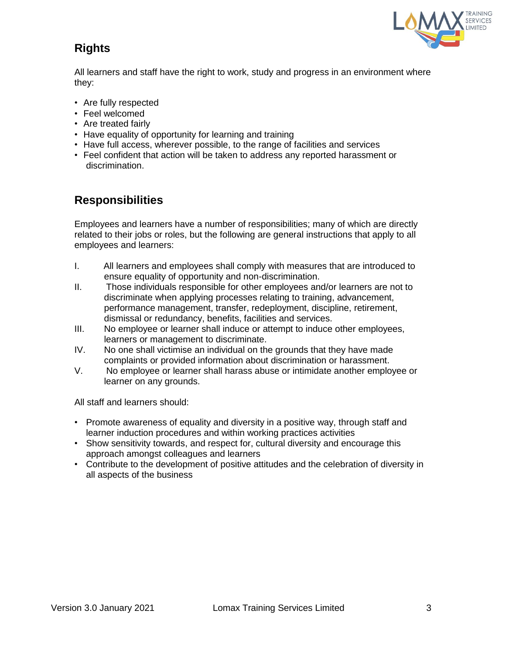

# **Rights**

All learners and staff have the right to work, study and progress in an environment where they:

- Are fully respected
- Feel welcomed
- Are treated fairly
- Have equality of opportunity for learning and training
- Have full access, wherever possible, to the range of facilities and services
- Feel confident that action will be taken to address any reported harassment or discrimination.

#### **Responsibilities**

Employees and learners have a number of responsibilities; many of which are directly related to their jobs or roles, but the following are general instructions that apply to all employees and learners:

- I. All learners and employees shall comply with measures that are introduced to ensure equality of opportunity and non-discrimination.
- II. Those individuals responsible for other employees and/or learners are not to discriminate when applying processes relating to training, advancement, performance management, transfer, redeployment, discipline, retirement, dismissal or redundancy, benefits, facilities and services.
- III. No employee or learner shall induce or attempt to induce other employees, learners or management to discriminate.
- IV. No one shall victimise an individual on the grounds that they have made complaints or provided information about discrimination or harassment.
- V. No employee or learner shall harass abuse or intimidate another employee or learner on any grounds.

All staff and learners should:

- Promote awareness of equality and diversity in a positive way, through staff and learner induction procedures and within working practices activities
- Show sensitivity towards, and respect for, cultural diversity and encourage this approach amongst colleagues and learners
- Contribute to the development of positive attitudes and the celebration of diversity in all aspects of the business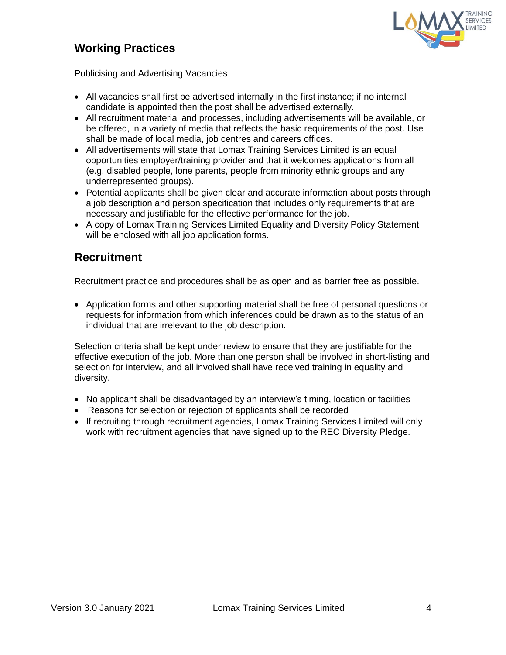# **Working Practices**



Publicising and Advertising Vacancies

- All vacancies shall first be advertised internally in the first instance; if no internal candidate is appointed then the post shall be advertised externally.
- All recruitment material and processes, including advertisements will be available, or be offered, in a variety of media that reflects the basic requirements of the post. Use shall be made of local media, job centres and careers offices.
- All advertisements will state that Lomax Training Services Limited is an equal opportunities employer/training provider and that it welcomes applications from all (e.g. disabled people, lone parents, people from minority ethnic groups and any underrepresented groups).
- Potential applicants shall be given clear and accurate information about posts through a job description and person specification that includes only requirements that are necessary and justifiable for the effective performance for the job.
- A copy of Lomax Training Services Limited Equality and Diversity Policy Statement will be enclosed with all job application forms.

#### **Recruitment**

Recruitment practice and procedures shall be as open and as barrier free as possible.

 Application forms and other supporting material shall be free of personal questions or requests for information from which inferences could be drawn as to the status of an individual that are irrelevant to the job description.

Selection criteria shall be kept under review to ensure that they are justifiable for the effective execution of the job. More than one person shall be involved in short-listing and selection for interview, and all involved shall have received training in equality and diversity.

- No applicant shall be disadvantaged by an interview's timing, location or facilities
- Reasons for selection or rejection of applicants shall be recorded
- If recruiting through recruitment agencies, Lomax Training Services Limited will only work with recruitment agencies that have signed up to the REC Diversity Pledge.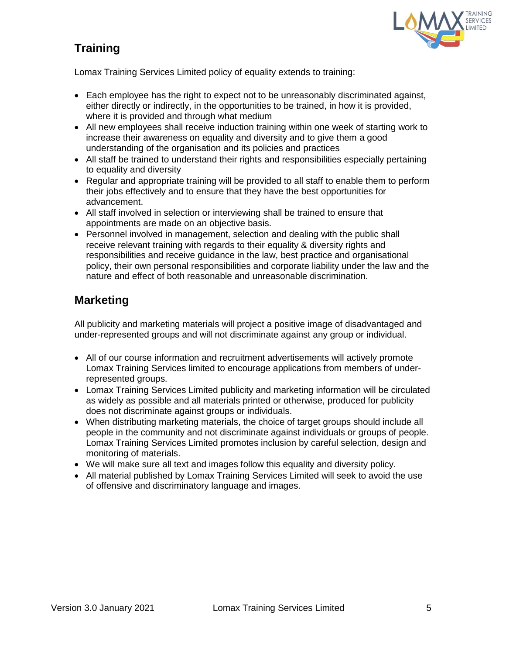# **Training**



Lomax Training Services Limited policy of equality extends to training:

- Each employee has the right to expect not to be unreasonably discriminated against, either directly or indirectly, in the opportunities to be trained, in how it is provided, where it is provided and through what medium
- All new employees shall receive induction training within one week of starting work to increase their awareness on equality and diversity and to give them a good understanding of the organisation and its policies and practices
- All staff be trained to understand their rights and responsibilities especially pertaining to equality and diversity
- Regular and appropriate training will be provided to all staff to enable them to perform their jobs effectively and to ensure that they have the best opportunities for advancement.
- All staff involved in selection or interviewing shall be trained to ensure that appointments are made on an objective basis.
- Personnel involved in management, selection and dealing with the public shall receive relevant training with regards to their equality & diversity rights and responsibilities and receive guidance in the law, best practice and organisational policy, their own personal responsibilities and corporate liability under the law and the nature and effect of both reasonable and unreasonable discrimination.

# **Marketing**

All publicity and marketing materials will project a positive image of disadvantaged and under-represented groups and will not discriminate against any group or individual.

- All of our course information and recruitment advertisements will actively promote Lomax Training Services limited to encourage applications from members of underrepresented groups.
- Lomax Training Services Limited publicity and marketing information will be circulated as widely as possible and all materials printed or otherwise, produced for publicity does not discriminate against groups or individuals.
- When distributing marketing materials, the choice of target groups should include all people in the community and not discriminate against individuals or groups of people. Lomax Training Services Limited promotes inclusion by careful selection, design and monitoring of materials.
- We will make sure all text and images follow this equality and diversity policy.
- All material published by Lomax Training Services Limited will seek to avoid the use of offensive and discriminatory language and images.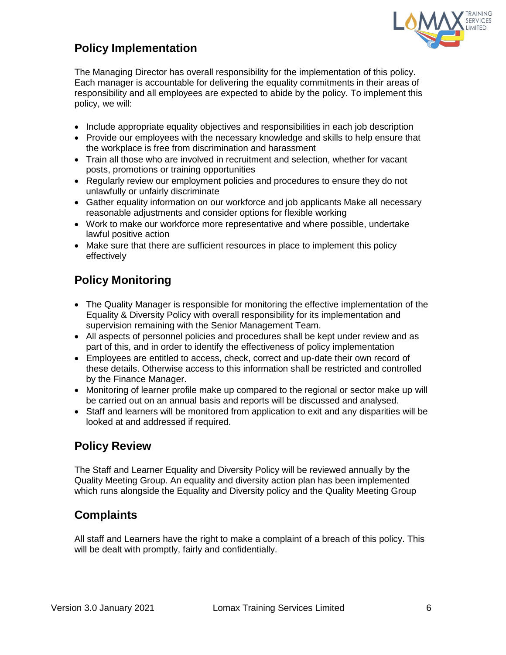

# **Policy Implementation**

The Managing Director has overall responsibility for the implementation of this policy. Each manager is accountable for delivering the equality commitments in their areas of responsibility and all employees are expected to abide by the policy. To implement this policy, we will:

- Include appropriate equality objectives and responsibilities in each job description
- Provide our employees with the necessary knowledge and skills to help ensure that the workplace is free from discrimination and harassment
- Train all those who are involved in recruitment and selection, whether for vacant posts, promotions or training opportunities
- Regularly review our employment policies and procedures to ensure they do not unlawfully or unfairly discriminate
- Gather equality information on our workforce and job applicants Make all necessary reasonable adjustments and consider options for flexible working
- Work to make our workforce more representative and where possible, undertake lawful positive action
- Make sure that there are sufficient resources in place to implement this policy effectively

# **Policy Monitoring**

- The Quality Manager is responsible for monitoring the effective implementation of the Equality & Diversity Policy with overall responsibility for its implementation and supervision remaining with the Senior Management Team.
- All aspects of personnel policies and procedures shall be kept under review and as part of this, and in order to identify the effectiveness of policy implementation
- Employees are entitled to access, check, correct and up-date their own record of these details. Otherwise access to this information shall be restricted and controlled by the Finance Manager.
- Monitoring of learner profile make up compared to the regional or sector make up will be carried out on an annual basis and reports will be discussed and analysed.
- Staff and learners will be monitored from application to exit and any disparities will be looked at and addressed if required.

# **Policy Review**

The Staff and Learner Equality and Diversity Policy will be reviewed annually by the Quality Meeting Group. An equality and diversity action plan has been implemented which runs alongside the Equality and Diversity policy and the Quality Meeting Group

# **Complaints**

All staff and Learners have the right to make a complaint of a breach of this policy. This will be dealt with promptly, fairly and confidentially.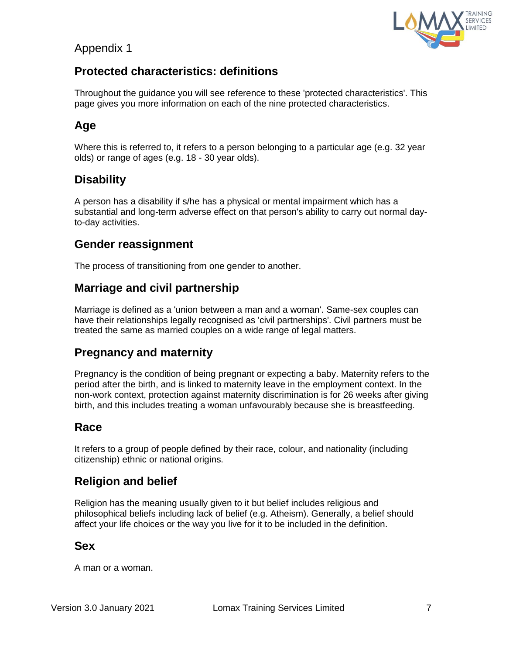## Appendix 1



# **Protected characteristics: definitions**

Throughout the guidance you will see reference to these 'protected characteristics'. This page gives you more information on each of the nine protected characteristics.

# **Age**

Where this is referred to, it refers to a person belonging to a particular age (e.g. 32 year olds) or range of ages (e.g. 18 - 30 year olds).

## **Disability**

A person has a disability if s/he has a physical or mental impairment which has a substantial and long-term adverse effect on that person's ability to carry out normal dayto-day activities.

#### **Gender reassignment**

The process of transitioning from one gender to another.

## **Marriage and civil partnership**

Marriage is defined as a 'union between a man and a woman'. Same-sex couples can have their relationships legally recognised as 'civil partnerships'. Civil partners must be treated the same as married couples on a wide range of legal matters.

#### **Pregnancy and maternity**

Pregnancy is the condition of being pregnant or expecting a baby. Maternity refers to the period after the birth, and is linked to maternity leave in the employment context. In the non-work context, protection against maternity discrimination is for 26 weeks after giving birth, and this includes treating a woman unfavourably because she is breastfeeding.

## **Race**

It refers to a group of people defined by their race, colour, and nationality (including citizenship) ethnic or national origins.

## **Religion and belief**

Religion has the meaning usually given to it but belief includes religious and philosophical beliefs including lack of belief (e.g. Atheism). Generally, a belief should affect your life choices or the way you live for it to be included in the definition.

#### **Sex**

A man or a woman.